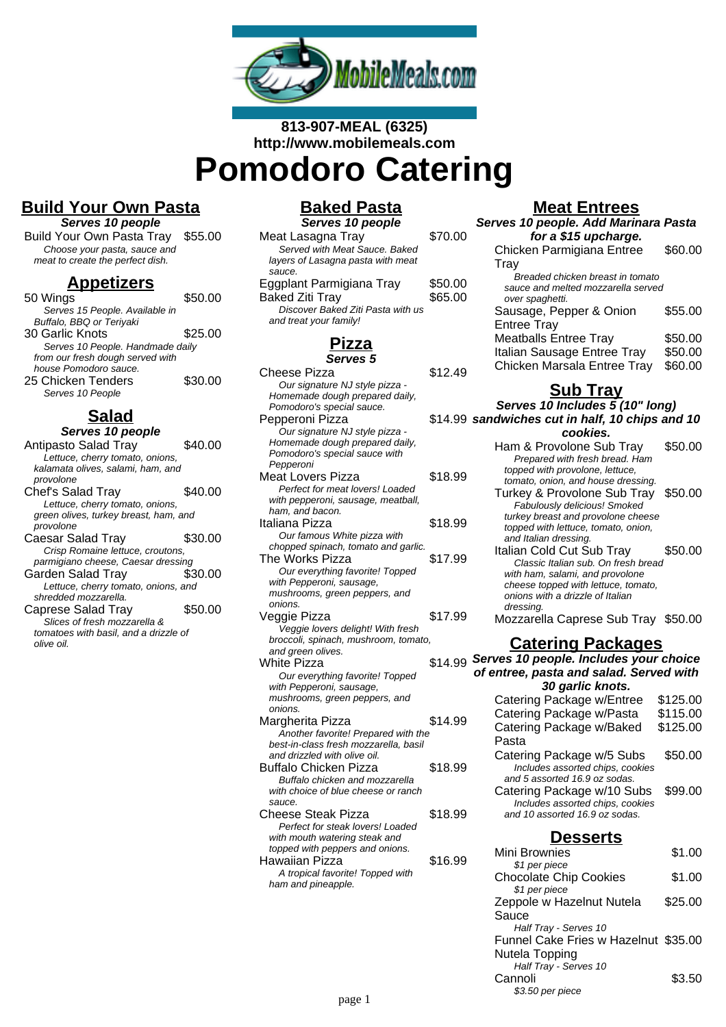

# **813-907-MEAL (6325) http://www.mobilemeals.com Pomodoro Catering**

## **Build Your Own Pasta**

**Serves 10 people**

| Build Your Own Pasta Tray \$55.00 |  |
|-----------------------------------|--|
| Choose your pasta, sauce and      |  |
| meat to create the perfect dish.  |  |

#### **Appetizers**

| 50 Wings                         | \$50.00 |
|----------------------------------|---------|
| Serves 15 People. Available in   |         |
| Buffalo, BBQ or Teriyaki         |         |
| 30 Garlic Knots                  | \$25.00 |
| Serves 10 People. Handmade daily |         |
| from our fresh dough served with |         |
| house Pomodoro sauce.            |         |
| 25 Chicken Tenders               | \$30.00 |
| Serves 10 People                 |         |

## **Salad**

| Serves 10 people                      |         |
|---------------------------------------|---------|
| <b>Antipasto Salad Tray</b>           | \$40.00 |
| Lettuce, cherry tomato, onions,       |         |
| kalamata olives, salami, ham, and     |         |
| provolone                             |         |
| Chef's Salad Tray                     | \$40.00 |
| Lettuce, cherry tomato, onions,       |         |
| green olives, turkey breast, ham, and |         |
| provolone                             |         |
| Caesar Salad Trav                     | \$30.00 |
| Crisp Romaine lettuce, croutons,      |         |
| parmigiano cheese, Caesar dressing    |         |
| Garden Salad Tray                     | \$30.00 |
| Lettuce, cherry tomato, onions, and   |         |
| shredded mozzarella.                  |         |
| Caprese Salad Tray                    | \$50.00 |
| Slices of fresh mozzarella &          |         |
| tomatoes with basil, and a drizzle of |         |
| olive oil.                            |         |

# **Baked Pasta**

| Serves 10 people                  |         |
|-----------------------------------|---------|
| Meat Lasagna Tray                 | \$70.00 |
| Served with Meat Sauce, Baked     |         |
| layers of Lasagna pasta with meat |         |
| sauce.                            |         |
| Eggplant Parmigiana Tray          | \$50.00 |
| Baked Ziti Tray                   | \$65.00 |
| Discover Baked Ziti Pasta with us |         |
| and treat your family!            |         |
|                                   |         |

# **Pizza**

| Serves 5                                                              |         |
|-----------------------------------------------------------------------|---------|
| <b>Cheese Pizza</b>                                                   | \$12.49 |
| Our signature NJ style pizza -<br>Homemade dough prepared daily,      |         |
| Pomodoro's special sauce.                                             |         |
| Pepperoni Pizza                                                       | \$14.99 |
| Our signature NJ style pizza -                                        |         |
| Homemade dough prepared daily,                                        |         |
| Pomodoro's special sauce with                                         |         |
| Pepperoni                                                             |         |
| <b>Meat Lovers Pizza</b>                                              | \$18.99 |
| Perfect for meat lovers! Loaded<br>with pepperoni, sausage, meatball, |         |
| ham, and bacon.                                                       |         |
| Italiana Pizza                                                        | \$18.99 |
| Our famous White pizza with                                           |         |
| chopped spinach, tomato and garlic.                                   |         |
| The Works Pizza                                                       | \$17.99 |
| Our everything favorite! Topped                                       |         |
| with Pepperoni, sausage,                                              |         |
| mushrooms, green peppers, and                                         |         |
| onions.<br>Veggie Pizza                                               | \$17.99 |
| Veggie lovers delight! With fresh                                     |         |
| broccoli, spinach, mushroom, tomato,                                  |         |
| and green olives.                                                     |         |
| <b>White Pizza</b>                                                    | \$14.99 |
| Our everything favorite! Topped                                       |         |
| with Pepperoni, sausage,                                              |         |
| mushrooms, green peppers, and                                         |         |
| onions.                                                               |         |
| Margherita Pizza<br>Another favorite! Prepared with the               | \$14.99 |
| best-in-class fresh mozzarella, basil                                 |         |
| and drizzled with olive oil.                                          |         |
| <b>Buffalo Chicken Pizza</b>                                          | \$18.99 |
| Buffalo chicken and mozzarella                                        |         |
| with choice of blue cheese or ranch                                   |         |
| sauce.                                                                |         |
| Cheese Steak Pizza                                                    | \$18.99 |
| Perfect for steak lovers! Loaded                                      |         |
| with mouth watering steak and<br>topped with peppers and onions.      |         |
| Hawaiian Pizza                                                        | \$16.99 |
| A tropical favorite! Topped with                                      |         |
| ham and pineapple.                                                    |         |
|                                                                       |         |

#### **Meat Entrees**

| Serves 10 people. Add Marinara Pasta |         |
|--------------------------------------|---------|
| for a \$15 upcharge.                 |         |
| Chicken Parmigiana Entree            | \$60.00 |
| Tray                                 |         |
| Breaded chicken breast in tomato     |         |
| sauce and melted mozzarella served   |         |
| over spaghetti.                      |         |
| Sausage, Pepper & Onion              | \$55.00 |
| <b>Entree Tray</b>                   |         |
| <b>Meatballs Entree Tray</b>         | \$50.00 |
| Italian Sausage Entree Tray          | \$50.00 |
| Chicken Marsala Entree Tray          | \$60.00 |

### **Sub Tray**

**Serves 10 Includes 5 (10" long) sandwiches cut in half, 10 chips and 10**

| sandwiches cut in hair, To chips and To |         |
|-----------------------------------------|---------|
| cookies.                                |         |
| Ham & Provolone Sub Tray                | \$50.00 |
| Prepared with fresh bread. Ham          |         |
| topped with provolone, lettuce,         |         |
| tomato, onion, and house dressing.      |         |
| Turkey & Provolone Sub Tray \$50.00     |         |
| Fabulously delicious! Smoked            |         |
| turkey breast and provolone cheese      |         |
| topped with lettuce, tomato, onion,     |         |
| and Italian dressing.                   |         |
| Italian Cold Cut Sub Tray               | \$50.00 |
| Classic Italian sub. On fresh bread     |         |
| with ham, salami, and provolone         |         |
| cheese topped with lettuce, tomato,     |         |
| onions with a drizzle of Italian        |         |
| dressing.                               |         |
| Mozzarella Caprese Sub Tray \$50.00     |         |
| <u>Catering Packages</u>                |         |
| Serves 10 people. Includes your choice  |         |
| ratura maséa and salad Coursed with     |         |

**of entree, pasta and salad. Served with**

| 30 garlic knots.                 |          |
|----------------------------------|----------|
| Catering Package w/Entree        | \$125.00 |
| Catering Package w/Pasta         | \$115.00 |
| Catering Package w/Baked         | \$125.00 |
| Pasta                            |          |
| Catering Package w/5 Subs        | \$50.00  |
| Includes assorted chips, cookies |          |
| and 5 assorted 16.9 oz sodas.    |          |
| Catering Package w/10 Subs       | \$99.00  |
| Includes assorted chips, cookies |          |
| and 10 assorted 16.9 oz sodas.   |          |
|                                  |          |

#### **Desserts** Mini Brownies \$1.00 \$1 per piece Chocolate Chip Cookies \$1.00 \$1 per piece Zeppole w Hazelnut Nutela Sauce \$25.00 Half Tray - Serves 10 Funnel Cake Fries w Hazelnut \$35.00 Nutela Topping Half Tray - Serves 10 Cannoli \$3.50 \$3.50 per piece